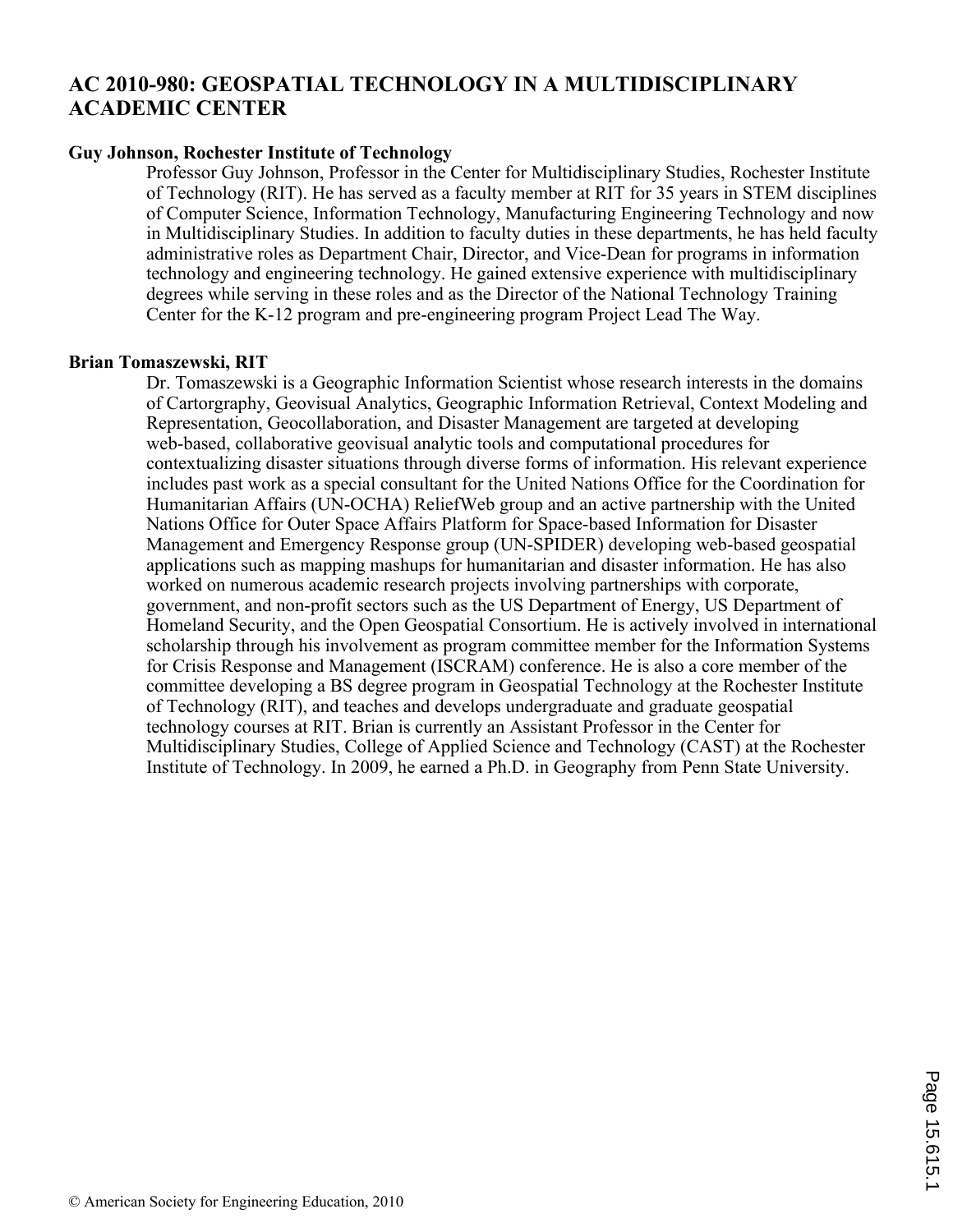# **AC 2010-980: GEOSPATIAL TECHNOLOGY IN A MULTIDISCIPLINARY ACADEMIC CENTER**

#### **Guy Johnson, Rochester Institute of Technology**

Professor Guy Johnson, Professor in the Center for Multidisciplinary Studies, Rochester Institute of Technology (RIT). He has served as a faculty member at RIT for 35 years in STEM disciplines of Computer Science, Information Technology, Manufacturing Engineering Technology and now in Multidisciplinary Studies. In addition to faculty duties in these departments, he has held faculty administrative roles as Department Chair, Director, and Vice-Dean for programs in information technology and engineering technology. He gained extensive experience with multidisciplinary degrees while serving in these roles and as the Director of the National Technology Training Center for the K-12 program and pre-engineering program Project Lead The Way.

#### **Brian Tomaszewski, RIT**

Dr. Tomaszewski is a Geographic Information Scientist whose research interests in the domains of Cartorgraphy, Geovisual Analytics, Geographic Information Retrieval, Context Modeling and Representation, Geocollaboration, and Disaster Management are targeted at developing web-based, collaborative geovisual analytic tools and computational procedures for contextualizing disaster situations through diverse forms of information. His relevant experience includes past work as a special consultant for the United Nations Office for the Coordination for Humanitarian Affairs (UN-OCHA) ReliefWeb group and an active partnership with the United Nations Office for Outer Space Affairs Platform for Space-based Information for Disaster Management and Emergency Response group (UN-SPIDER) developing web-based geospatial applications such as mapping mashups for humanitarian and disaster information. He has also worked on numerous academic research projects involving partnerships with corporate, government, and non-profit sectors such as the US Department of Energy, US Department of Homeland Security, and the Open Geospatial Consortium. He is actively involved in international scholarship through his involvement as program committee member for the Information Systems for Crisis Response and Management (ISCRAM) conference. He is also a core member of the committee developing a BS degree program in Geospatial Technology at the Rochester Institute of Technology (RIT), and teaches and develops undergraduate and graduate geospatial technology courses at RIT. Brian is currently an Assistant Professor in the Center for Multidisciplinary Studies, College of Applied Science and Technology (CAST) at the Rochester Institute of Technology. In 2009, he earned a Ph.D. in Geography from Penn State University.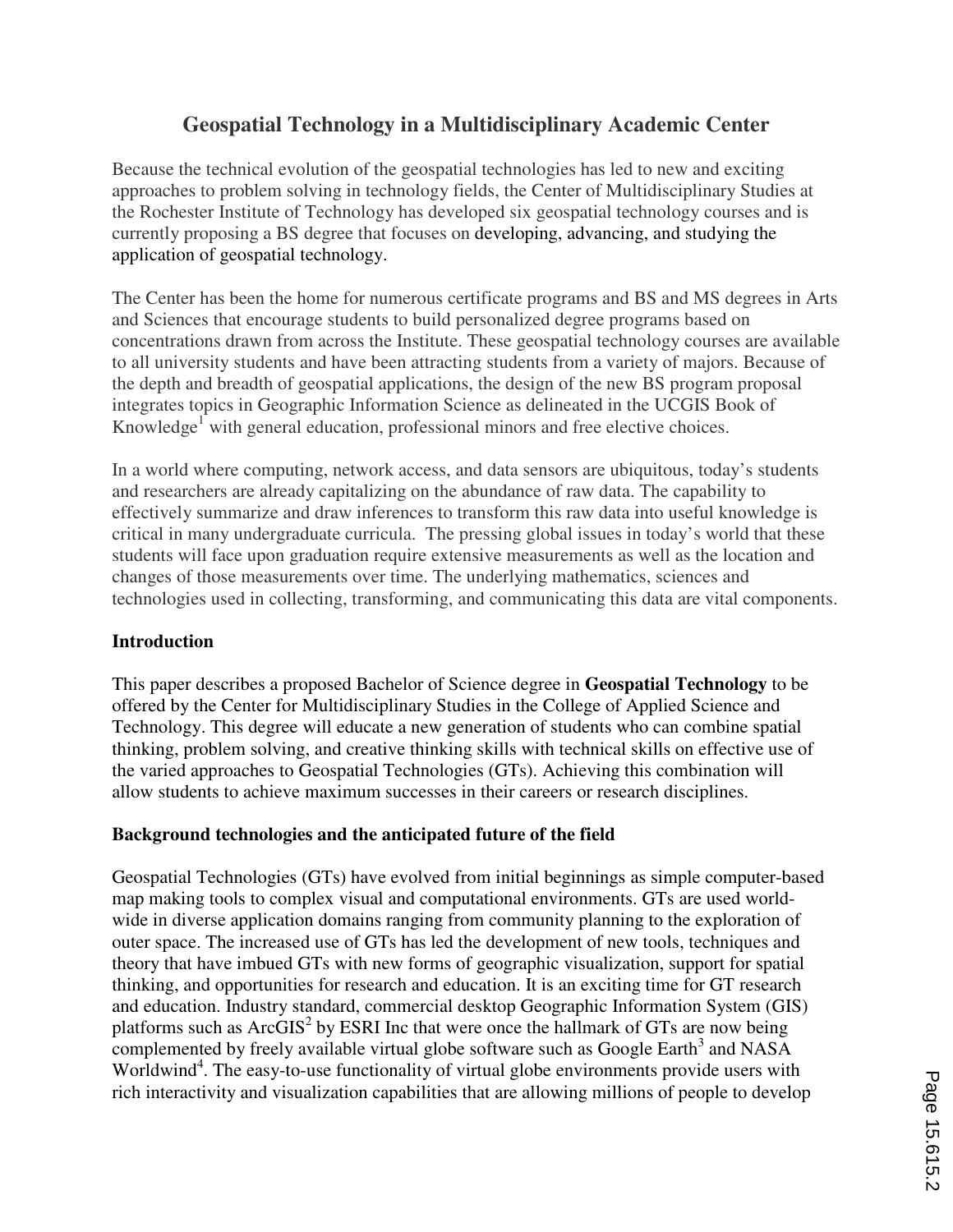# **Geospatial Technology in a Multidisciplinary Academic Center**

Because the technical evolution of the geospatial technologies has led to new and exciting approaches to problem solving in technology fields, the Center of Multidisciplinary Studies at the Rochester Institute of Technology has developed six geospatial technology courses and is currently proposing a BS degree that focuses on developing, advancing, and studying the application of geospatial technology.

The Center has been the home for numerous certificate programs and BS and MS degrees in Arts and Sciences that encourage students to build personalized degree programs based on concentrations drawn from across the Institute. These geospatial technology courses are available to all university students and have been attracting students from a variety of majors. Because of the depth and breadth of geospatial applications, the design of the new BS program proposal integrates topics in Geographic Information Science as delineated in the UCGIS Book of Knowledge<sup>1</sup> with general education, professional minors and free elective choices.

In a world where computing, network access, and data sensors are ubiquitous, today's students and researchers are already capitalizing on the abundance of raw data. The capability to effectively summarize and draw inferences to transform this raw data into useful knowledge is critical in many undergraduate curricula. The pressing global issues in today's world that these students will face upon graduation require extensive measurements as well as the location and changes of those measurements over time. The underlying mathematics, sciences and technologies used in collecting, transforming, and communicating this data are vital components.

## **Introduction**

This paper describes a proposed Bachelor of Science degree in **Geospatial Technology** to be offered by the Center for Multidisciplinary Studies in the College of Applied Science and Technology. This degree will educate a new generation of students who can combine spatial thinking, problem solving, and creative thinking skills with technical skills on effective use of the varied approaches to Geospatial Technologies (GTs). Achieving this combination will allow students to achieve maximum successes in their careers or research disciplines.

## **Background technologies and the anticipated future of the field**

Geospatial Technologies (GTs) have evolved from initial beginnings as simple computer-based map making tools to complex visual and computational environments. GTs are used worldwide in diverse application domains ranging from community planning to the exploration of outer space. The increased use of GTs has led the development of new tools, techniques and theory that have imbued GTs with new forms of geographic visualization, support for spatial thinking, and opportunities for research and education. It is an exciting time for GT research and education. Industry standard, commercial desktop Geographic Information System (GIS) platforms such as  $ArcGIS<sup>2</sup>$  by ESRI Inc that were once the hallmark of GTs are now being complemented by freely available virtual globe software such as Google Earth<sup>3</sup> and NASA Worldwind<sup>4</sup>. The easy-to-use functionality of virtual globe environments provide users with rich interactivity and visualization capabilities that are allowing millions of people to develop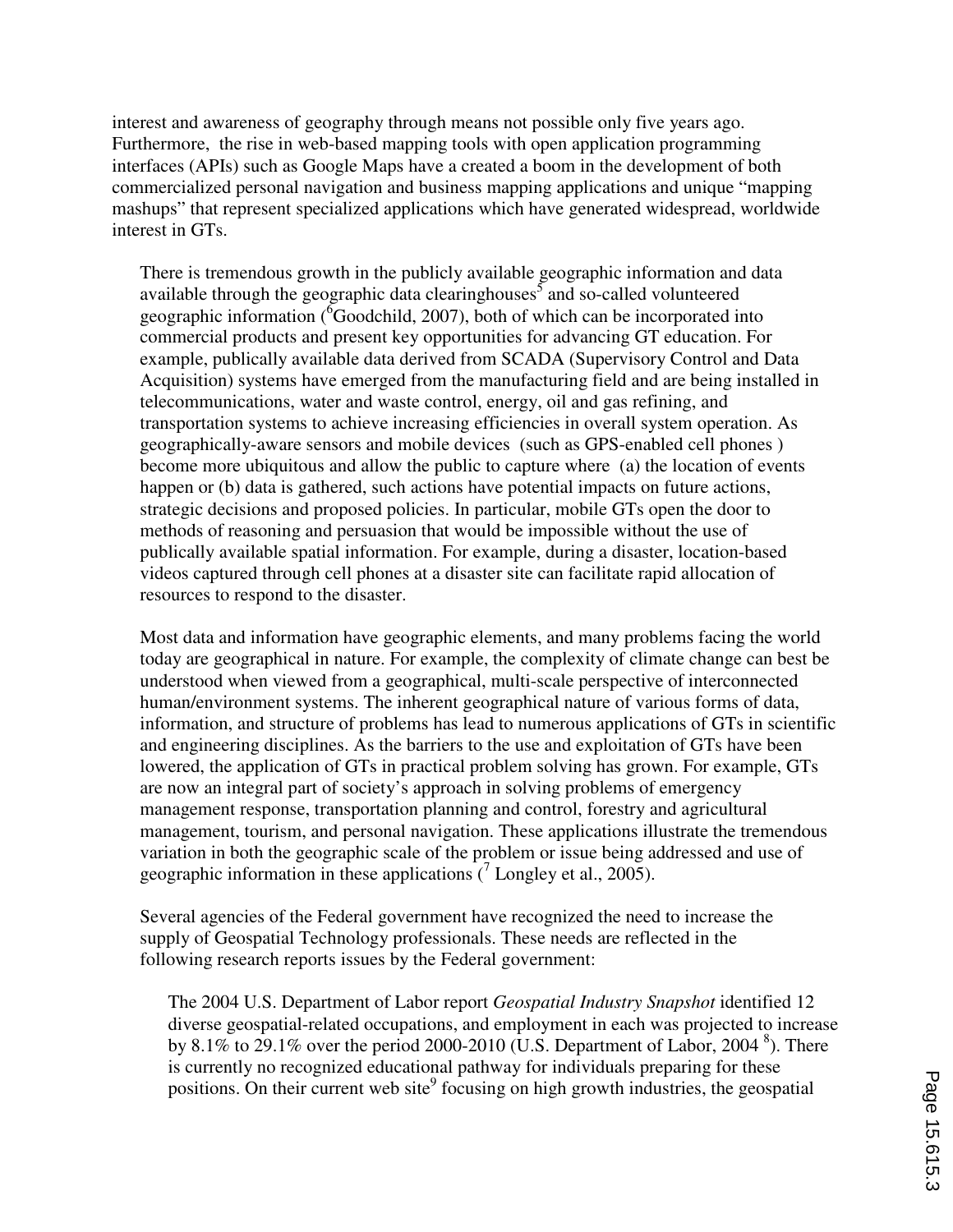interest and awareness of geography through means not possible only five years ago. Furthermore, the rise in web-based mapping tools with open application programming interfaces (APIs) such as Google Maps have a created a boom in the development of both commercialized personal navigation and business mapping applications and unique "mapping mashups" that represent specialized applications which have generated widespread, worldwide interest in GTs.

There is tremendous growth in the publicly available geographic information and data available through the geographic data clearinghouses<sup>5</sup> and so-called volunteered geographic information  $(^{6}$ Goodchild, 2007), both of which can be incorporated into commercial products and present key opportunities for advancing GT education. For example, publically available data derived from SCADA (Supervisory Control and Data Acquisition) systems have emerged from the manufacturing field and are being installed in telecommunications, water and waste control, energy, oil and gas refining, and transportation systems to achieve increasing efficiencies in overall system operation. As geographically-aware sensors and mobile devices (such as GPS-enabled cell phones ) become more ubiquitous and allow the public to capture where (a) the location of events happen or (b) data is gathered, such actions have potential impacts on future actions, strategic decisions and proposed policies. In particular, mobile GTs open the door to methods of reasoning and persuasion that would be impossible without the use of publically available spatial information. For example, during a disaster, location-based videos captured through cell phones at a disaster site can facilitate rapid allocation of resources to respond to the disaster.

Most data and information have geographic elements, and many problems facing the world today are geographical in nature. For example, the complexity of climate change can best be understood when viewed from a geographical, multi-scale perspective of interconnected human/environment systems. The inherent geographical nature of various forms of data, information, and structure of problems has lead to numerous applications of GTs in scientific and engineering disciplines. As the barriers to the use and exploitation of GTs have been lowered, the application of GTs in practical problem solving has grown. For example, GTs are now an integral part of society's approach in solving problems of emergency management response, transportation planning and control, forestry and agricultural management, tourism, and personal navigation. These applications illustrate the tremendous variation in both the geographic scale of the problem or issue being addressed and use of geographic information in these applications  $(7 \text{ Longley et al., } 2005)$ .

Several agencies of the Federal government have recognized the need to increase the supply of Geospatial Technology professionals. These needs are reflected in the following research reports issues by the Federal government:

The 2004 U.S. Department of Labor report *Geospatial Industry Snapshot* identified 12 diverse geospatial-related occupations, and employment in each was projected to increase by 8.1% to 29.1% over the period 2000-2010 (U.S. Department of Labor, 2004<sup>8</sup>). There is currently no recognized educational pathway for individuals preparing for these positions. On their current web site<sup>9</sup> focusing on high growth industries, the geospatial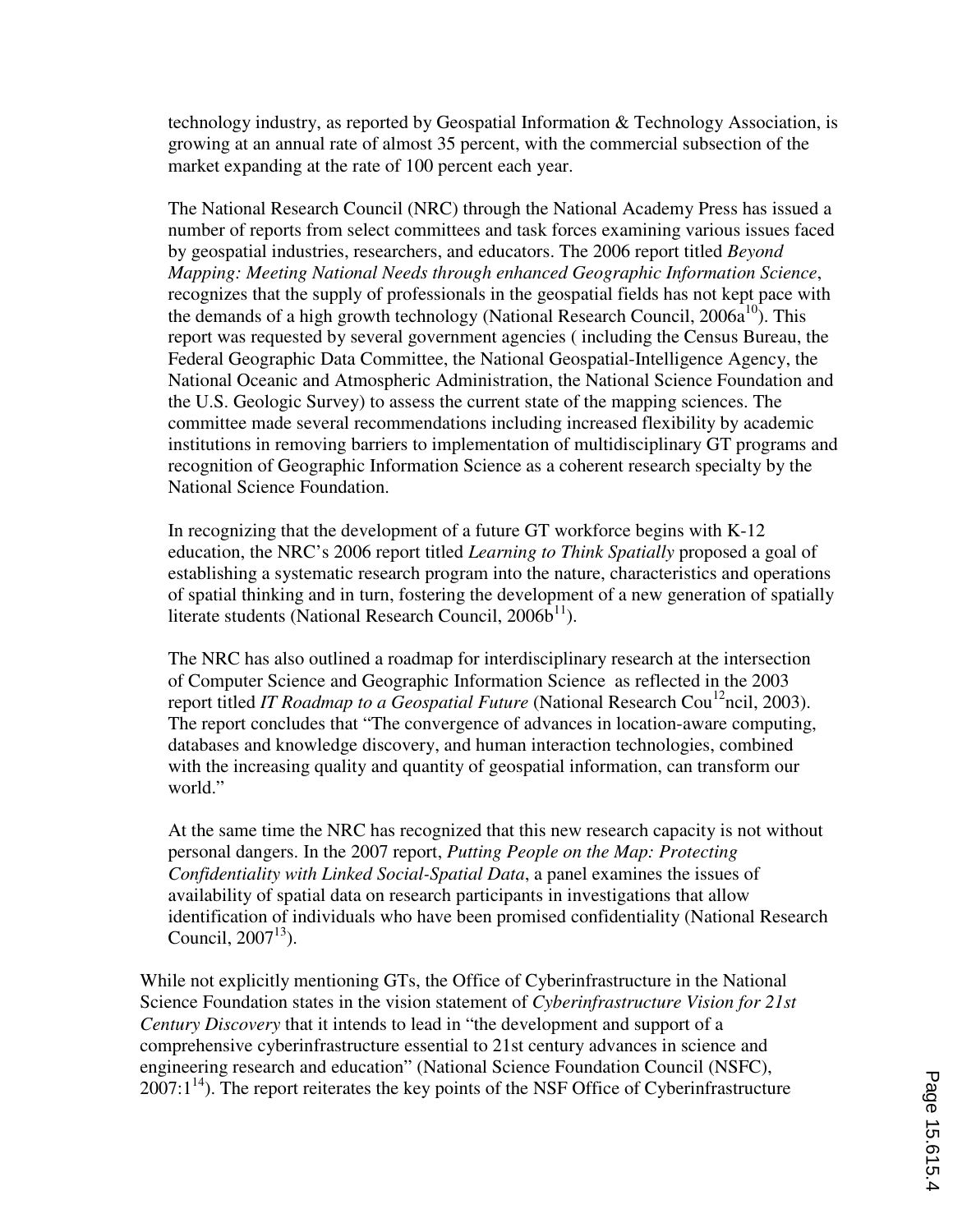technology industry, as reported by Geospatial Information  $\&$  Technology Association, is growing at an annual rate of almost 35 percent, with the commercial subsection of the market expanding at the rate of 100 percent each year.

The National Research Council (NRC) through the National Academy Press has issued a number of reports from select committees and task forces examining various issues faced by geospatial industries, researchers, and educators. The 2006 report titled *Beyond Mapping: Meeting National Needs through enhanced Geographic Information Science*, recognizes that the supply of professionals in the geospatial fields has not kept pace with the demands of a high growth technology (National Research Council,  $2006a^{10}$ ). This report was requested by several government agencies ( including the Census Bureau, the Federal Geographic Data Committee, the National Geospatial-Intelligence Agency, the National Oceanic and Atmospheric Administration, the National Science Foundation and the U.S. Geologic Survey) to assess the current state of the mapping sciences. The committee made several recommendations including increased flexibility by academic institutions in removing barriers to implementation of multidisciplinary GT programs and recognition of Geographic Information Science as a coherent research specialty by the National Science Foundation.

In recognizing that the development of a future GT workforce begins with K-12 education, the NRC's 2006 report titled *Learning to Think Spatially* proposed a goal of establishing a systematic research program into the nature, characteristics and operations of spatial thinking and in turn, fostering the development of a new generation of spatially literate students (National Research Council,  $2006b^{11}$ ).

The NRC has also outlined a roadmap for interdisciplinary research at the intersection of Computer Science and Geographic Information Science as reflected in the 2003 report titled *IT Roadmap to a Geospatial Future* (National Research Cou<sup>12</sup>ncil, 2003). The report concludes that "The convergence of advances in location-aware computing, databases and knowledge discovery, and human interaction technologies, combined with the increasing quality and quantity of geospatial information, can transform our world."

At the same time the NRC has recognized that this new research capacity is not without personal dangers. In the 2007 report, *Putting People on the Map: Protecting Confidentiality with Linked Social-Spatial Data*, a panel examines the issues of availability of spatial data on research participants in investigations that allow identification of individuals who have been promised confidentiality (National Research Council,  $2007^{13}$ ).

While not explicitly mentioning GTs, the Office of Cyberinfrastructure in the National Science Foundation states in the vision statement of *Cyberinfrastructure Vision for 21st Century Discovery* that it intends to lead in "the development and support of a comprehensive cyberinfrastructure essential to 21st century advances in science and engineering research and education" (National Science Foundation Council (NSFC),  $2007:1^{14}$ ). The report reiterates the key points of the NSF Office of Cyberinfrastructure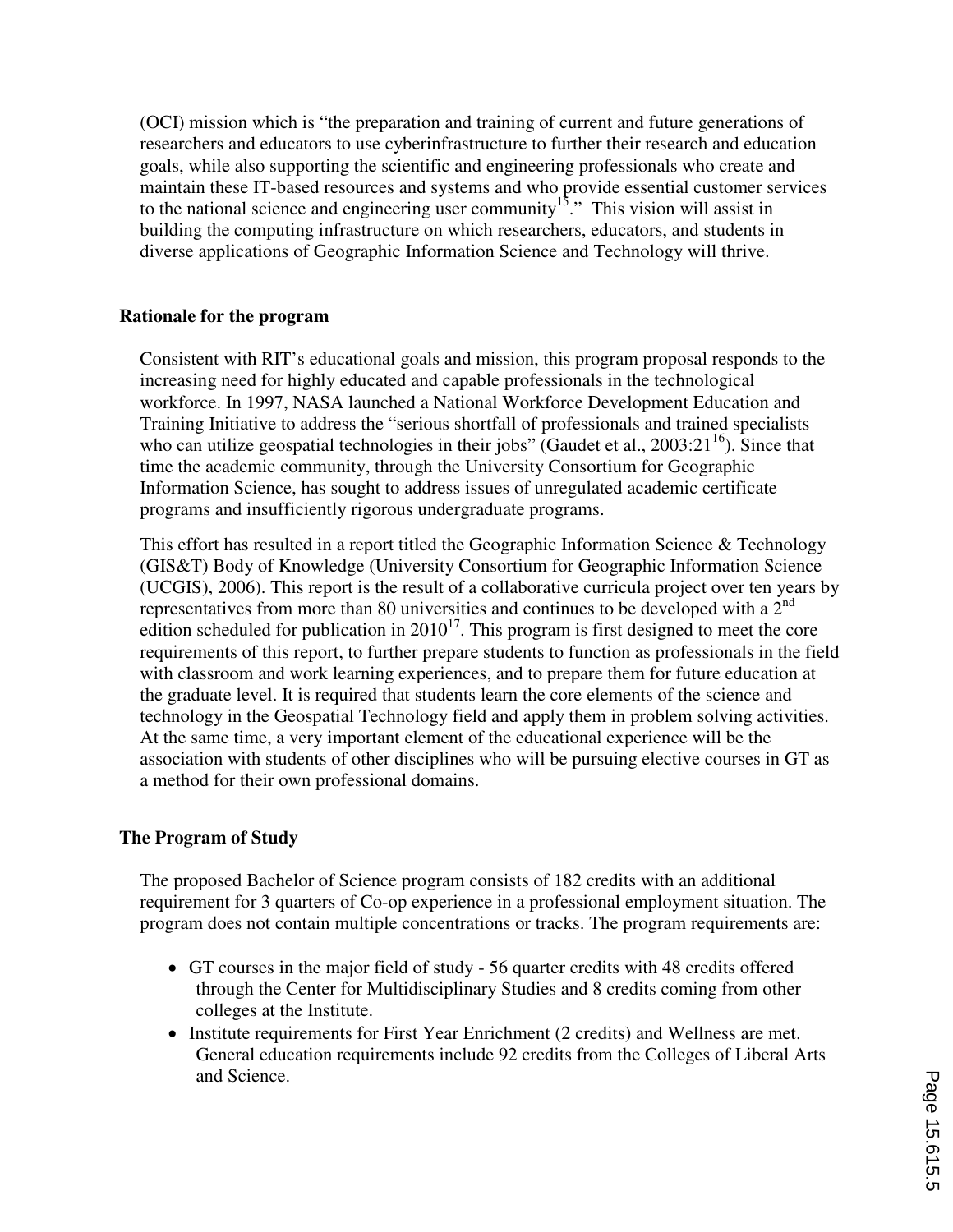(OCI) mission which is "the preparation and training of current and future generations of researchers and educators to use cyberinfrastructure to further their research and education goals, while also supporting the scientific and engineering professionals who create and maintain these IT-based resources and systems and who provide essential customer services to the national science and engineering user community<sup>15</sup>." This vision will assist in building the computing infrastructure on which researchers, educators, and students in diverse applications of Geographic Information Science and Technology will thrive.

## **Rationale for the program**

Consistent with RIT's educational goals and mission, this program proposal responds to the increasing need for highly educated and capable professionals in the technological workforce. In 1997, NASA launched a National Workforce Development Education and Training Initiative to address the "serious shortfall of professionals and trained specialists who can utilize geospatial technologies in their jobs" (Gaudet et al.,  $2003:21^{16}$ ). Since that time the academic community, through the University Consortium for Geographic Information Science, has sought to address issues of unregulated academic certificate programs and insufficiently rigorous undergraduate programs.

This effort has resulted in a report titled the Geographic Information Science & Technology (GIS&T) Body of Knowledge (University Consortium for Geographic Information Science (UCGIS), 2006). This report is the result of a collaborative curricula project over ten years by representatives from more than 80 universities and continues to be developed with a 2<sup>nd</sup> edition scheduled for publication in  $2010^{17}$ . This program is first designed to meet the core requirements of this report, to further prepare students to function as professionals in the field with classroom and work learning experiences, and to prepare them for future education at the graduate level. It is required that students learn the core elements of the science and technology in the Geospatial Technology field and apply them in problem solving activities. At the same time, a very important element of the educational experience will be the association with students of other disciplines who will be pursuing elective courses in GT as a method for their own professional domains.

#### **The Program of Study**

The proposed Bachelor of Science program consists of 182 credits with an additional requirement for 3 quarters of Co-op experience in a professional employment situation. The program does not contain multiple concentrations or tracks. The program requirements are:

- GT courses in the major field of study 56 quarter credits with 48 credits offered through the Center for Multidisciplinary Studies and 8 credits coming from other colleges at the Institute.
- Institute requirements for First Year Enrichment (2 credits) and Wellness are met. General education requirements include 92 credits from the Colleges of Liberal Arts and Science.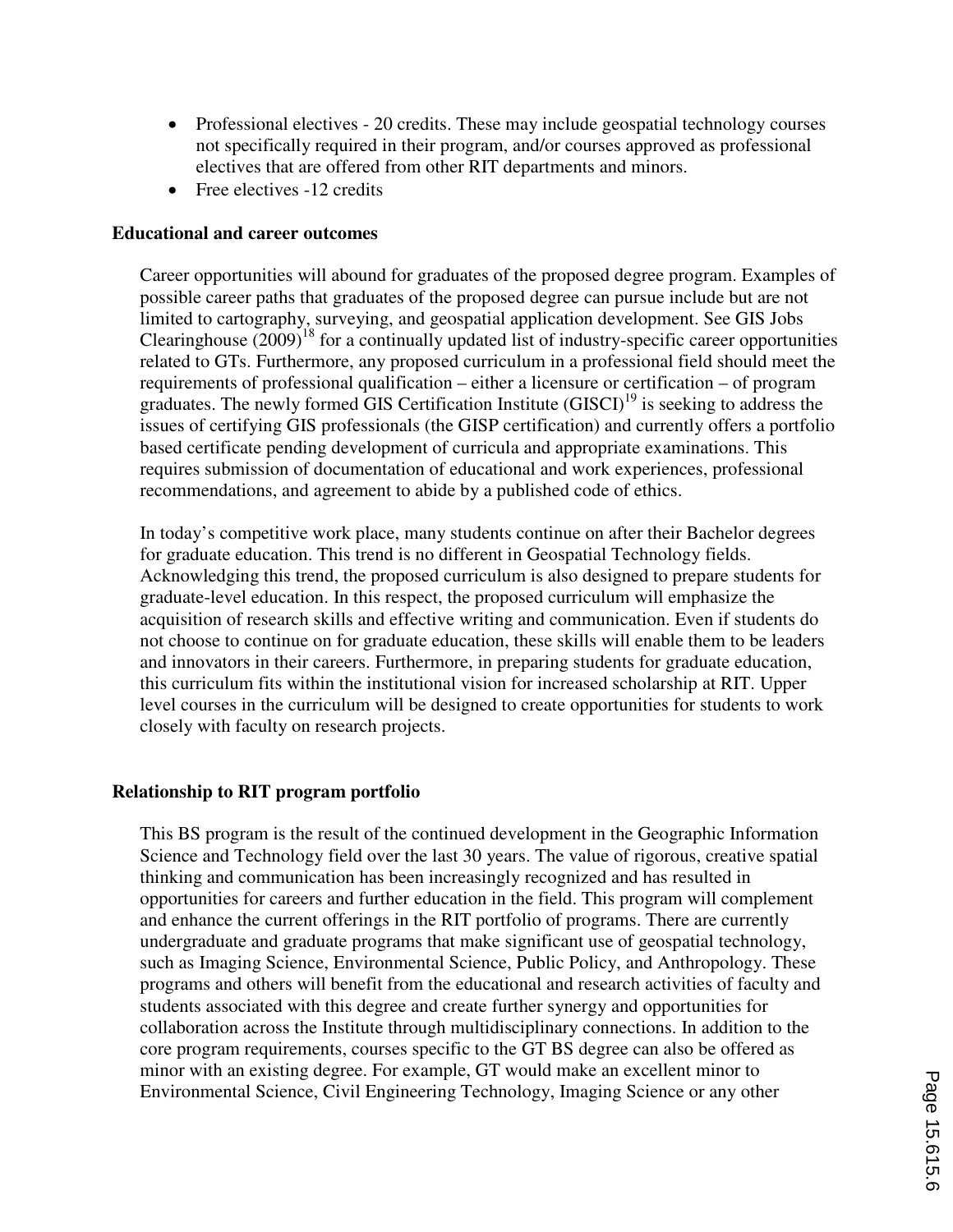- Professional electives 20 credits. These may include geospatial technology courses not specifically required in their program, and/or courses approved as professional electives that are offered from other RIT departments and minors.
- $\bullet$  Free electives -12 credits

#### **Educational and career outcomes**

Career opportunities will abound for graduates of the proposed degree program. Examples of possible career paths that graduates of the proposed degree can pursue include but are not limited to cartography, surveying, and geospatial application development. See GIS Jobs Clearinghouse  $(2009)^{18}$  for a continually updated list of industry-specific career opportunities related to GTs. Furthermore, any proposed curriculum in a professional field should meet the requirements of professional qualification – either a licensure or certification – of program graduates. The newly formed GIS Certification Institute  $(GISCI)^{19}$  is seeking to address the issues of certifying GIS professionals (the GISP certification) and currently offers a portfolio based certificate pending development of curricula and appropriate examinations. This requires submission of documentation of educational and work experiences, professional recommendations, and agreement to abide by a published code of ethics.

In today's competitive work place, many students continue on after their Bachelor degrees for graduate education. This trend is no different in Geospatial Technology fields. Acknowledging this trend, the proposed curriculum is also designed to prepare students for graduate-level education. In this respect, the proposed curriculum will emphasize the acquisition of research skills and effective writing and communication. Even if students do not choose to continue on for graduate education, these skills will enable them to be leaders and innovators in their careers. Furthermore, in preparing students for graduate education, this curriculum fits within the institutional vision for increased scholarship at RIT. Upper level courses in the curriculum will be designed to create opportunities for students to work closely with faculty on research projects.

## **Relationship to RIT program portfolio**

This BS program is the result of the continued development in the Geographic Information Science and Technology field over the last 30 years. The value of rigorous, creative spatial thinking and communication has been increasingly recognized and has resulted in opportunities for careers and further education in the field. This program will complement and enhance the current offerings in the RIT portfolio of programs. There are currently undergraduate and graduate programs that make significant use of geospatial technology, such as Imaging Science, Environmental Science, Public Policy, and Anthropology. These programs and others will benefit from the educational and research activities of faculty and students associated with this degree and create further synergy and opportunities for collaboration across the Institute through multidisciplinary connections. In addition to the core program requirements, courses specific to the GT BS degree can also be offered as minor with an existing degree. For example, GT would make an excellent minor to Environmental Science, Civil Engineering Technology, Imaging Science or any other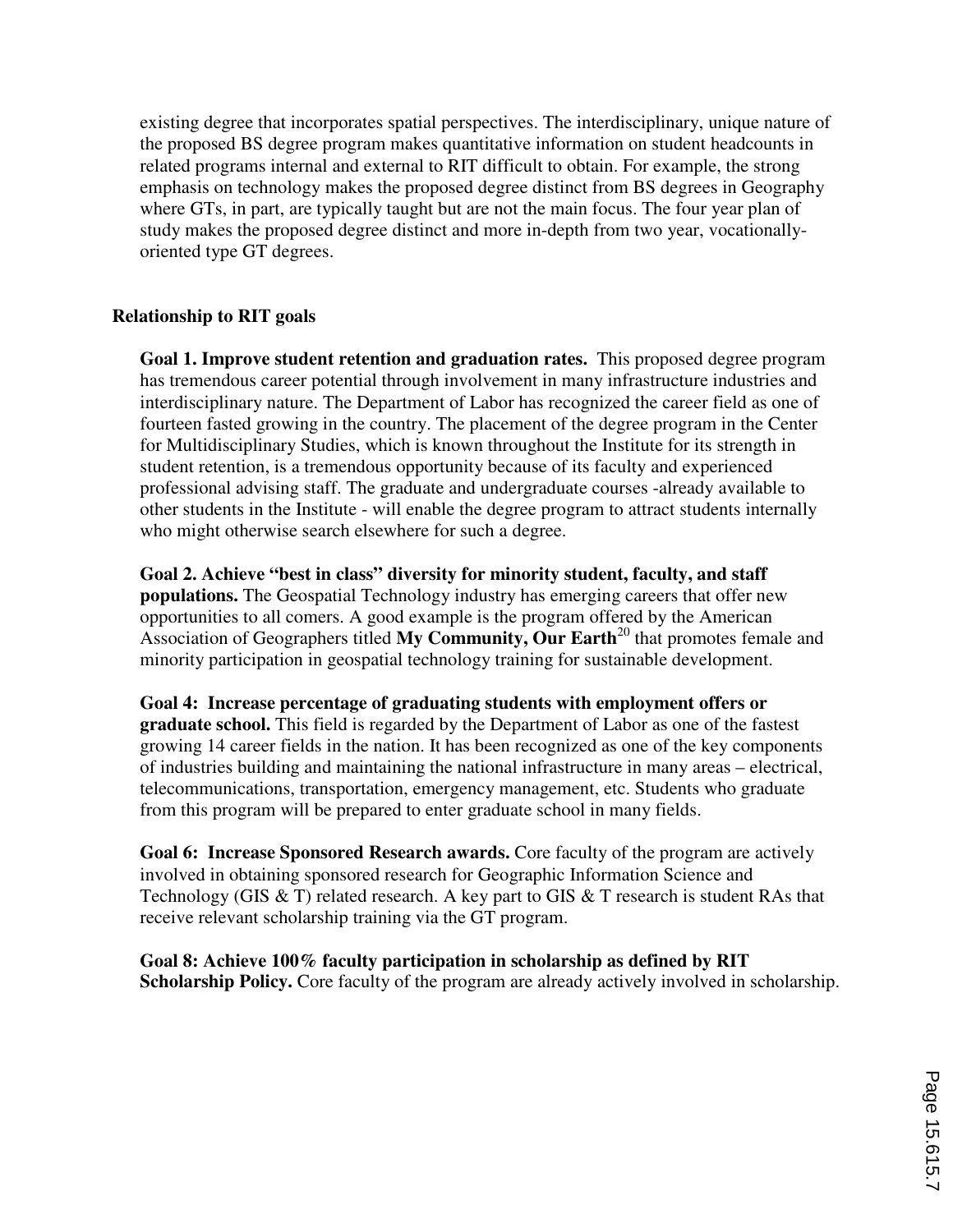existing degree that incorporates spatial perspectives. The interdisciplinary, unique nature of the proposed BS degree program makes quantitative information on student headcounts in related programs internal and external to RIT difficult to obtain. For example, the strong emphasis on technology makes the proposed degree distinct from BS degrees in Geography where GTs, in part, are typically taught but are not the main focus. The four year plan of study makes the proposed degree distinct and more in-depth from two year, vocationallyoriented type GT degrees.

#### **Relationship to RIT goals**

**Goal 1. Improve student retention and graduation rates.** This proposed degree program has tremendous career potential through involvement in many infrastructure industries and interdisciplinary nature. The Department of Labor has recognized the career field as one of fourteen fasted growing in the country. The placement of the degree program in the Center for Multidisciplinary Studies, which is known throughout the Institute for its strength in student retention, is a tremendous opportunity because of its faculty and experienced professional advising staff. The graduate and undergraduate courses -already available to other students in the Institute - will enable the degree program to attract students internally who might otherwise search elsewhere for such a degree.

**Goal 2. Achieve "best in class" diversity for minority student, faculty, and staff populations.** The Geospatial Technology industry has emerging careers that offer new opportunities to all comers. A good example is the program offered by the American Association of Geographers titled **My Community, Our Earth**<sup>20</sup> that promotes female and minority participation in geospatial technology training for sustainable development.

**Goal 4: Increase percentage of graduating students with employment offers or graduate school.** This field is regarded by the Department of Labor as one of the fastest growing 14 career fields in the nation. It has been recognized as one of the key components of industries building and maintaining the national infrastructure in many areas – electrical, telecommunications, transportation, emergency management, etc. Students who graduate from this program will be prepared to enter graduate school in many fields.

**Goal 6: Increase Sponsored Research awards.** Core faculty of the program are actively involved in obtaining sponsored research for Geographic Information Science and Technology (GIS  $&T$ ) related research. A key part to GIS  $&T$  research is student RAs that receive relevant scholarship training via the GT program.

**Goal 8: Achieve 100% faculty participation in scholarship as defined by RIT Scholarship Policy.** Core faculty of the program are already actively involved in scholarship.